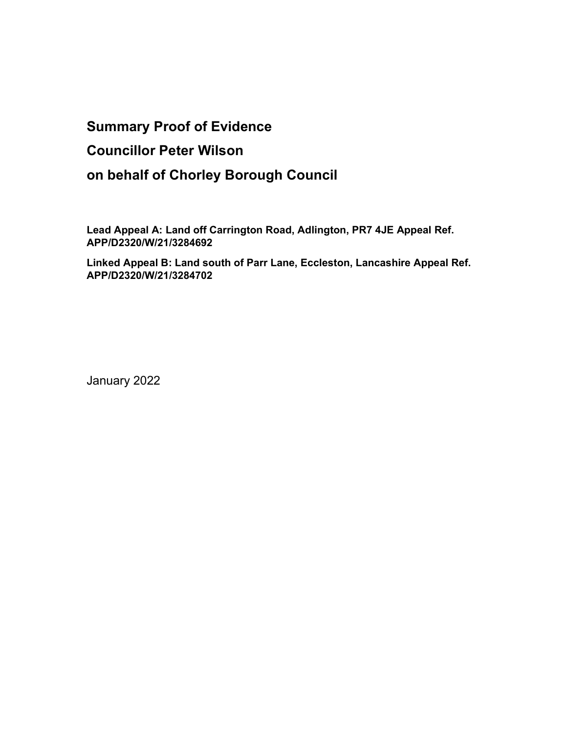# Summary Proof of Evidence

## Councillor Peter Wilson

# on behalf of Chorley Borough Council

Lead Appeal A: Land off Carrington Road, Adlington, PR7 4JE Appeal Ref. APP/D2320/W/21/3284692

Linked Appeal B: Land south of Parr Lane, Eccleston, Lancashire Appeal Ref. APP/D2320/W/21/3284702

January 2022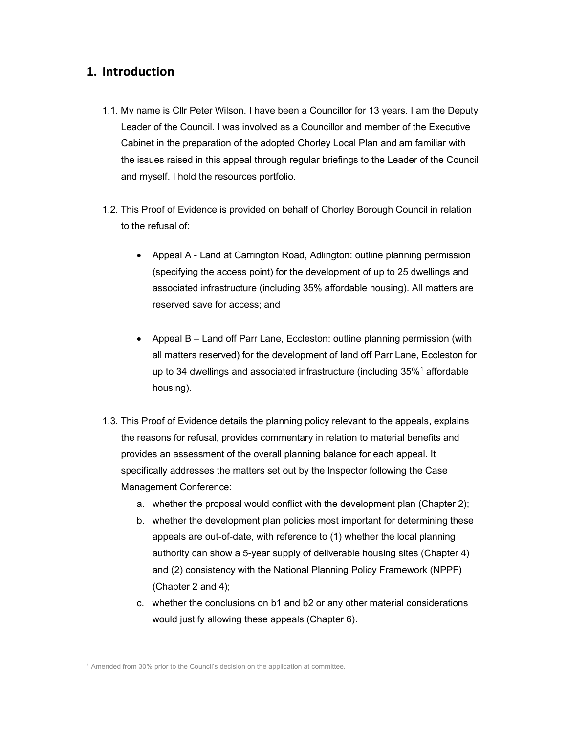### 1. Introduction

- 1.1. My name is Cllr Peter Wilson. I have been a Councillor for 13 years. I am the Deputy Leader of the Council. I was involved as a Councillor and member of the Executive Cabinet in the preparation of the adopted Chorley Local Plan and am familiar with the issues raised in this appeal through regular briefings to the Leader of the Council and myself. I hold the resources portfolio.
- 1.2. This Proof of Evidence is provided on behalf of Chorley Borough Council in relation to the refusal of:
	- Appeal A Land at Carrington Road, Adlington: outline planning permission (specifying the access point) for the development of up to 25 dwellings and associated infrastructure (including 35% affordable housing). All matters are reserved save for access; and
	- Appeal B Land off Parr Lane, Eccleston: outline planning permission (with all matters reserved) for the development of land off Parr Lane, Eccleston for up to 34 dwellings and associated infrastructure (including  $35\%$ <sup>1</sup> affordable housing).
- 1.3. This Proof of Evidence details the planning policy relevant to the appeals, explains the reasons for refusal, provides commentary in relation to material benefits and provides an assessment of the overall planning balance for each appeal. It specifically addresses the matters set out by the Inspector following the Case Management Conference:
	- a. whether the proposal would conflict with the development plan (Chapter 2);
	- b. whether the development plan policies most important for determining these appeals are out-of-date, with reference to (1) whether the local planning authority can show a 5-year supply of deliverable housing sites (Chapter 4) and (2) consistency with the National Planning Policy Framework (NPPF) (Chapter 2 and 4);
	- c. whether the conclusions on b1 and b2 or any other material considerations would justify allowing these appeals (Chapter 6).

<sup>&</sup>lt;sup>1</sup> Amended from 30% prior to the Council's decision on the application at committee.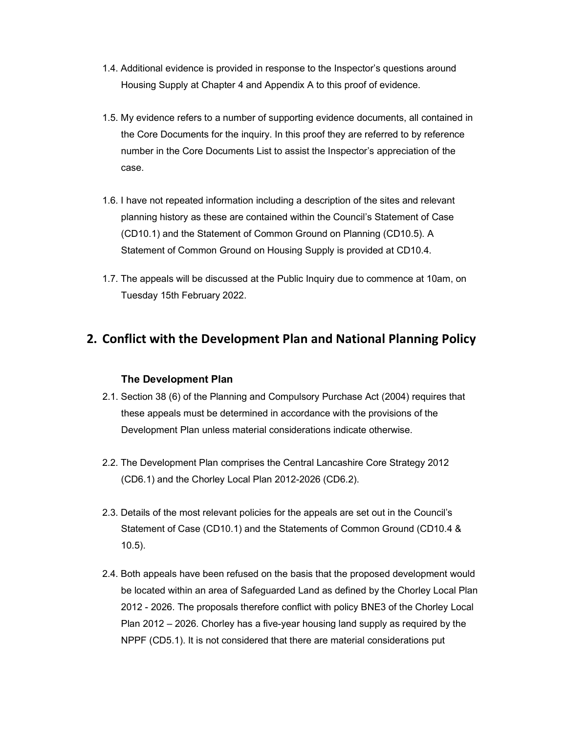- 1.4. Additional evidence is provided in response to the Inspector's questions around Housing Supply at Chapter 4 and Appendix A to this proof of evidence.
- 1.5. My evidence refers to a number of supporting evidence documents, all contained in the Core Documents for the inquiry. In this proof they are referred to by reference number in the Core Documents List to assist the Inspector's appreciation of the case.
- 1.6. I have not repeated information including a description of the sites and relevant planning history as these are contained within the Council's Statement of Case (CD10.1) and the Statement of Common Ground on Planning (CD10.5). A Statement of Common Ground on Housing Supply is provided at CD10.4.
- 1.7. The appeals will be discussed at the Public Inquiry due to commence at 10am, on Tuesday 15th February 2022.

## 2. Conflict with the Development Plan and National Planning Policy

### The Development Plan

- 2.1. Section 38 (6) of the Planning and Compulsory Purchase Act (2004) requires that these appeals must be determined in accordance with the provisions of the Development Plan unless material considerations indicate otherwise.
- 2.2. The Development Plan comprises the Central Lancashire Core Strategy 2012 (CD6.1) and the Chorley Local Plan 2012-2026 (CD6.2).
- 2.3. Details of the most relevant policies for the appeals are set out in the Council's Statement of Case (CD10.1) and the Statements of Common Ground (CD10.4 & 10.5).
- 2.4. Both appeals have been refused on the basis that the proposed development would be located within an area of Safeguarded Land as defined by the Chorley Local Plan 2012 - 2026. The proposals therefore conflict with policy BNE3 of the Chorley Local Plan 2012 – 2026. Chorley has a five-year housing land supply as required by the NPPF (CD5.1). It is not considered that there are material considerations put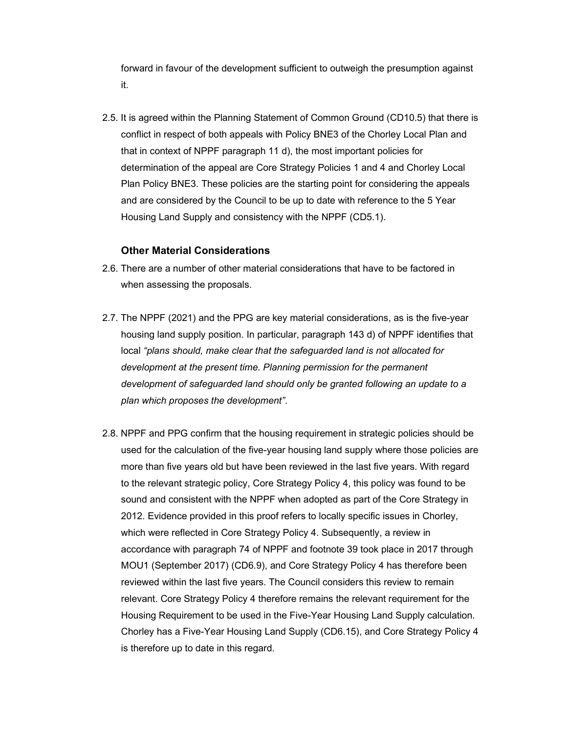forward in favour of the development sufficient to outweigh the presumption against it.

2.5. It is agreed within the Planning Statement of Common Ground (CD10.5) that there is conflict in respect of both appeals with Policy BNE3 of the Chorley Local Plan and that in context of NPPF paragraph 11 d), the most important policies for determination of the appeal are Core Strategy Policies 1 and 4 and Chorley Local Plan Policy BNE3. These policies are the starting point for considering the appeals and are considered by the Council to be up to date with reference to the 5 Year Housing Land Supply and consistency with the NPPF (CD5.1).

#### Other Material Considerations

- 2.6. There are a number of other material considerations that have to be factored in when assessing the proposals.
- 2.7. The NPPF (2021) and the PPG are key material considerations, as is the five-year housing land supply position. In particular, paragraph 143 d) of NPPF identifies that local "plans should, make clear that the safeguarded land is not allocated for development at the present time. Planning permission for the permanent development of safeguarded land should only be granted following an update to a plan which proposes the development".
- 2.8. NPPF and PPG confirm that the housing requirement in strategic policies should be used for the calculation of the five-year housing land supply where those policies are more than five years old but have been reviewed in the last five years. With regard to the relevant strategic policy, Core Strategy Policy 4, this policy was found to be sound and consistent with the NPPF when adopted as part of the Core Strategy in 2012. Evidence provided in this proof refers to locally specific issues in Chorley, which were reflected in Core Strategy Policy 4. Subsequently, a review in accordance with paragraph 74 of NPPF and footnote 39 took place in 2017 through MOU1 (September 2017) (CD6.9), and Core Strategy Policy 4 has therefore been reviewed within the last five years. The Council considers this review to remain relevant. Core Strategy Policy 4 therefore remains the relevant requirement for the Housing Requirement to be used in the Five-Year Housing Land Supply calculation. Chorley has a Five-Year Housing Land Supply (CD6.15), and Core Strategy Policy 4 is therefore up to date in this regard.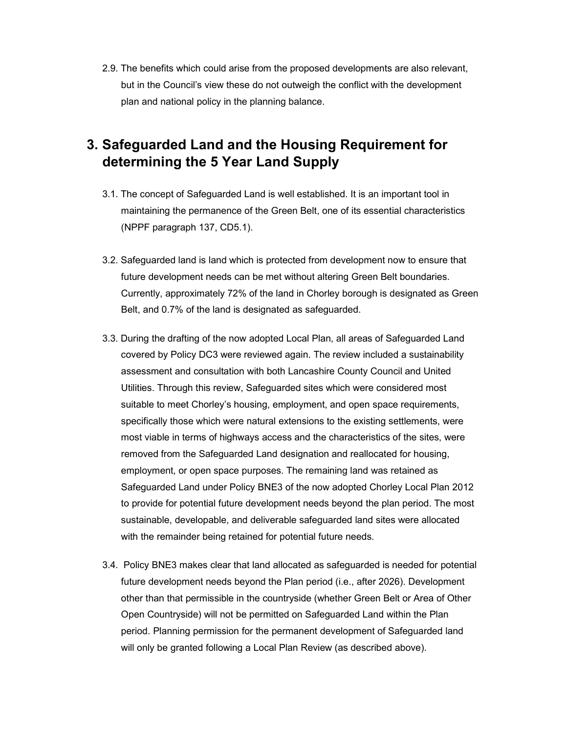2.9. The benefits which could arise from the proposed developments are also relevant, but in the Council's view these do not outweigh the conflict with the development plan and national policy in the planning balance.

# 3. Safeguarded Land and the Housing Requirement for determining the 5 Year Land Supply

- 3.1. The concept of Safeguarded Land is well established. It is an important tool in maintaining the permanence of the Green Belt, one of its essential characteristics (NPPF paragraph 137, CD5.1).
- 3.2. Safeguarded land is land which is protected from development now to ensure that future development needs can be met without altering Green Belt boundaries. Currently, approximately 72% of the land in Chorley borough is designated as Green Belt, and 0.7% of the land is designated as safeguarded.
- 3.3. During the drafting of the now adopted Local Plan, all areas of Safeguarded Land covered by Policy DC3 were reviewed again. The review included a sustainability assessment and consultation with both Lancashire County Council and United Utilities. Through this review, Safeguarded sites which were considered most suitable to meet Chorley's housing, employment, and open space requirements, specifically those which were natural extensions to the existing settlements, were most viable in terms of highways access and the characteristics of the sites, were removed from the Safeguarded Land designation and reallocated for housing, employment, or open space purposes. The remaining land was retained as Safeguarded Land under Policy BNE3 of the now adopted Chorley Local Plan 2012 to provide for potential future development needs beyond the plan period. The most sustainable, developable, and deliverable safeguarded land sites were allocated with the remainder being retained for potential future needs.
- 3.4. Policy BNE3 makes clear that land allocated as safeguarded is needed for potential future development needs beyond the Plan period (i.e., after 2026). Development other than that permissible in the countryside (whether Green Belt or Area of Other Open Countryside) will not be permitted on Safeguarded Land within the Plan period. Planning permission for the permanent development of Safeguarded land will only be granted following a Local Plan Review (as described above).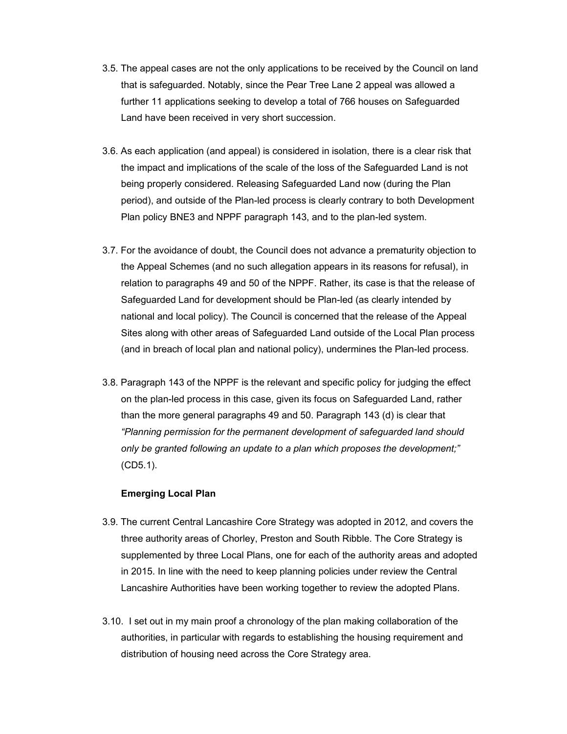- 3.5. The appeal cases are not the only applications to be received by the Council on land that is safeguarded. Notably, since the Pear Tree Lane 2 appeal was allowed a further 11 applications seeking to develop a total of 766 houses on Safeguarded Land have been received in very short succession.
- 3.6. As each application (and appeal) is considered in isolation, there is a clear risk that the impact and implications of the scale of the loss of the Safeguarded Land is not being properly considered. Releasing Safeguarded Land now (during the Plan period), and outside of the Plan-led process is clearly contrary to both Development Plan policy BNE3 and NPPF paragraph 143, and to the plan-led system.
- 3.7. For the avoidance of doubt, the Council does not advance a prematurity objection to the Appeal Schemes (and no such allegation appears in its reasons for refusal), in relation to paragraphs 49 and 50 of the NPPF. Rather, its case is that the release of Safeguarded Land for development should be Plan-led (as clearly intended by national and local policy). The Council is concerned that the release of the Appeal Sites along with other areas of Safeguarded Land outside of the Local Plan process (and in breach of local plan and national policy), undermines the Plan-led process.
- 3.8. Paragraph 143 of the NPPF is the relevant and specific policy for judging the effect on the plan-led process in this case, given its focus on Safeguarded Land, rather than the more general paragraphs 49 and 50. Paragraph 143 (d) is clear that "Planning permission for the permanent development of safeguarded land should only be granted following an update to a plan which proposes the development;" (CD5.1).

#### Emerging Local Plan

- 3.9. The current Central Lancashire Core Strategy was adopted in 2012, and covers the three authority areas of Chorley, Preston and South Ribble. The Core Strategy is supplemented by three Local Plans, one for each of the authority areas and adopted in 2015. In line with the need to keep planning policies under review the Central Lancashire Authorities have been working together to review the adopted Plans.
- 3.10. I set out in my main proof a chronology of the plan making collaboration of the authorities, in particular with regards to establishing the housing requirement and distribution of housing need across the Core Strategy area.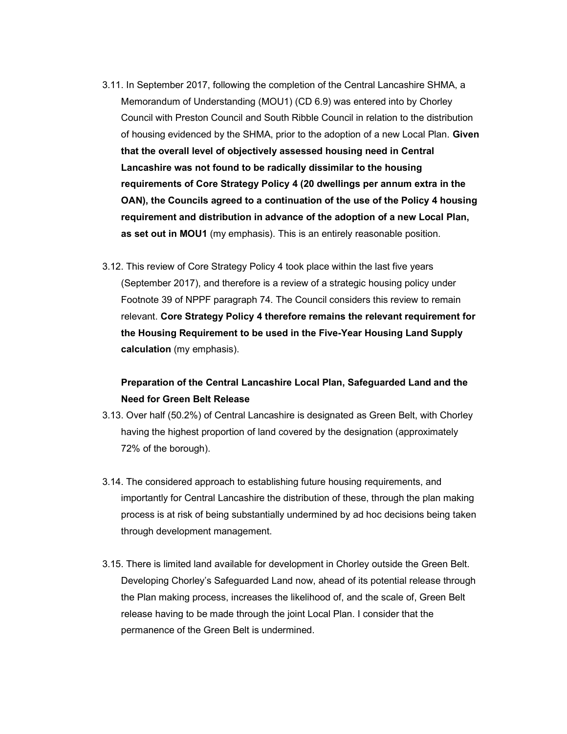- 3.11. In September 2017, following the completion of the Central Lancashire SHMA, a Memorandum of Understanding (MOU1) (CD 6.9) was entered into by Chorley Council with Preston Council and South Ribble Council in relation to the distribution of housing evidenced by the SHMA, prior to the adoption of a new Local Plan. Given that the overall level of objectively assessed housing need in Central Lancashire was not found to be radically dissimilar to the housing requirements of Core Strategy Policy 4 (20 dwellings per annum extra in the OAN), the Councils agreed to a continuation of the use of the Policy 4 housing requirement and distribution in advance of the adoption of a new Local Plan, as set out in MOU1 (my emphasis). This is an entirely reasonable position.
- 3.12. This review of Core Strategy Policy 4 took place within the last five years (September 2017), and therefore is a review of a strategic housing policy under Footnote 39 of NPPF paragraph 74. The Council considers this review to remain relevant. Core Strategy Policy 4 therefore remains the relevant requirement for the Housing Requirement to be used in the Five-Year Housing Land Supply calculation (my emphasis).

### Preparation of the Central Lancashire Local Plan, Safeguarded Land and the Need for Green Belt Release

- 3.13. Over half (50.2%) of Central Lancashire is designated as Green Belt, with Chorley having the highest proportion of land covered by the designation (approximately 72% of the borough).
- 3.14. The considered approach to establishing future housing requirements, and importantly for Central Lancashire the distribution of these, through the plan making process is at risk of being substantially undermined by ad hoc decisions being taken through development management.
- 3.15. There is limited land available for development in Chorley outside the Green Belt. Developing Chorley's Safeguarded Land now, ahead of its potential release through the Plan making process, increases the likelihood of, and the scale of, Green Belt release having to be made through the joint Local Plan. I consider that the permanence of the Green Belt is undermined.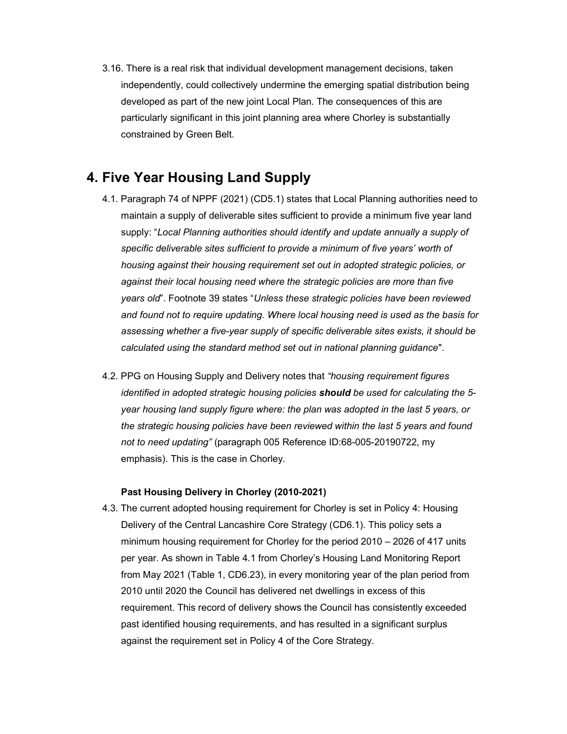3.16. There is a real risk that individual development management decisions, taken independently, could collectively undermine the emerging spatial distribution being developed as part of the new joint Local Plan. The consequences of this are particularly significant in this joint planning area where Chorley is substantially constrained by Green Belt.

## 4. Five Year Housing Land Supply

- 4.1. Paragraph 74 of NPPF (2021) (CD5.1) states that Local Planning authorities need to maintain a supply of deliverable sites sufficient to provide a minimum five year land supply: "Local Planning authorities should identify and update annually a supply of specific deliverable sites sufficient to provide a minimum of five years' worth of housing against their housing requirement set out in adopted strategic policies, or against their local housing need where the strategic policies are more than five years old". Footnote 39 states "Unless these strategic policies have been reviewed and found not to require updating. Where local housing need is used as the basis for assessing whether a five-year supply of specific deliverable sites exists, it should be calculated using the standard method set out in national planning guidance".
- 4.2. PPG on Housing Supply and Delivery notes that "housing requirement figures identified in adopted strategic housing policies should be used for calculating the 5 year housing land supply figure where: the plan was adopted in the last 5 years, or the strategic housing policies have been reviewed within the last 5 years and found not to need updating" (paragraph 005 Reference ID:68-005-20190722, my emphasis). This is the case in Chorley.

### Past Housing Delivery in Chorley (2010-2021)

4.3. The current adopted housing requirement for Chorley is set in Policy 4: Housing Delivery of the Central Lancashire Core Strategy (CD6.1). This policy sets a minimum housing requirement for Chorley for the period 2010 – 2026 of 417 units per year. As shown in Table 4.1 from Chorley's Housing Land Monitoring Report from May 2021 (Table 1, CD6.23), in every monitoring year of the plan period from 2010 until 2020 the Council has delivered net dwellings in excess of this requirement. This record of delivery shows the Council has consistently exceeded past identified housing requirements, and has resulted in a significant surplus against the requirement set in Policy 4 of the Core Strategy.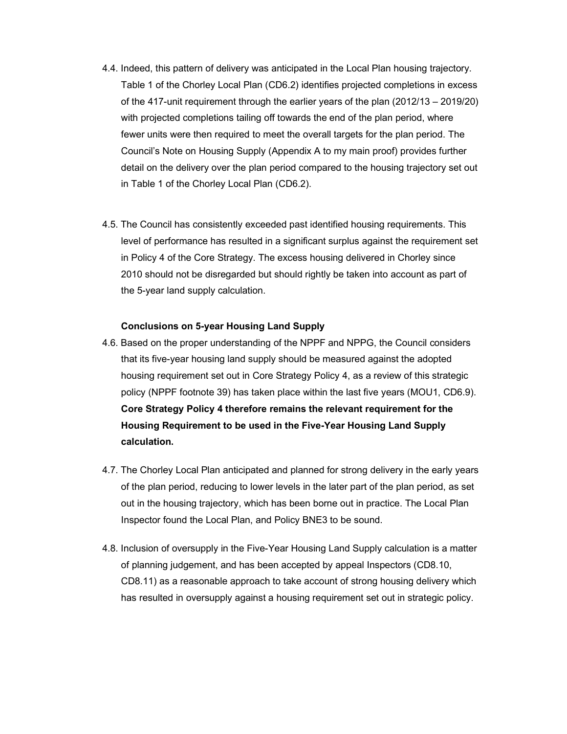- 4.4. Indeed, this pattern of delivery was anticipated in the Local Plan housing trajectory. Table 1 of the Chorley Local Plan (CD6.2) identifies projected completions in excess of the 417-unit requirement through the earlier years of the plan (2012/13 – 2019/20) with projected completions tailing off towards the end of the plan period, where fewer units were then required to meet the overall targets for the plan period. The Council's Note on Housing Supply (Appendix A to my main proof) provides further detail on the delivery over the plan period compared to the housing trajectory set out in Table 1 of the Chorley Local Plan (CD6.2).
- 4.5. The Council has consistently exceeded past identified housing requirements. This level of performance has resulted in a significant surplus against the requirement set in Policy 4 of the Core Strategy. The excess housing delivered in Chorley since 2010 should not be disregarded but should rightly be taken into account as part of the 5-year land supply calculation.

#### Conclusions on 5-year Housing Land Supply

- 4.6. Based on the proper understanding of the NPPF and NPPG, the Council considers that its five-year housing land supply should be measured against the adopted housing requirement set out in Core Strategy Policy 4, as a review of this strategic policy (NPPF footnote 39) has taken place within the last five years (MOU1, CD6.9). Core Strategy Policy 4 therefore remains the relevant requirement for the Housing Requirement to be used in the Five-Year Housing Land Supply calculation.
- 4.7. The Chorley Local Plan anticipated and planned for strong delivery in the early years of the plan period, reducing to lower levels in the later part of the plan period, as set out in the housing trajectory, which has been borne out in practice. The Local Plan Inspector found the Local Plan, and Policy BNE3 to be sound.
- 4.8. Inclusion of oversupply in the Five-Year Housing Land Supply calculation is a matter of planning judgement, and has been accepted by appeal Inspectors (CD8.10, CD8.11) as a reasonable approach to take account of strong housing delivery which has resulted in oversupply against a housing requirement set out in strategic policy.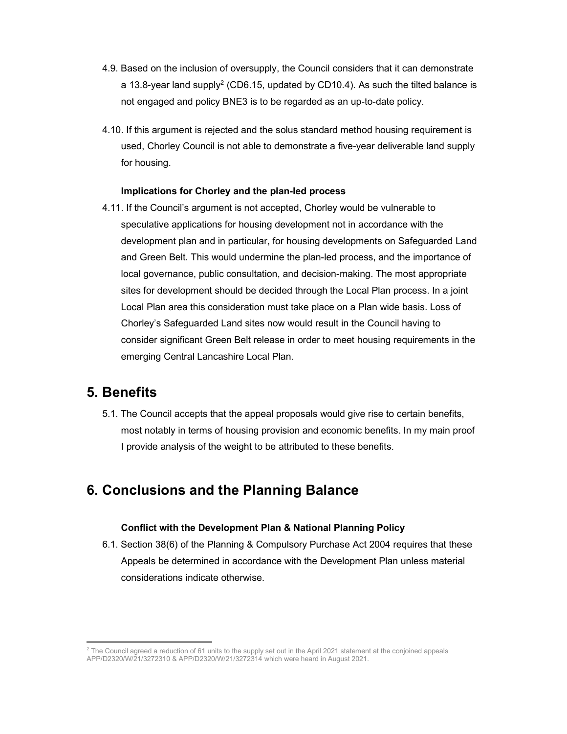- 4.9. Based on the inclusion of oversupply, the Council considers that it can demonstrate a 13.8-year land supply<sup>2</sup> (CD6.15, updated by CD10.4). As such the tilted balance is not engaged and policy BNE3 is to be regarded as an up-to-date policy.
- 4.10. If this argument is rejected and the solus standard method housing requirement is used, Chorley Council is not able to demonstrate a five-year deliverable land supply for housing.

#### Implications for Chorley and the plan-led process

4.11. If the Council's argument is not accepted, Chorley would be vulnerable to speculative applications for housing development not in accordance with the development plan and in particular, for housing developments on Safeguarded Land and Green Belt. This would undermine the plan-led process, and the importance of local governance, public consultation, and decision-making. The most appropriate sites for development should be decided through the Local Plan process. In a joint Local Plan area this consideration must take place on a Plan wide basis. Loss of Chorley's Safeguarded Land sites now would result in the Council having to consider significant Green Belt release in order to meet housing requirements in the emerging Central Lancashire Local Plan.

### 5. Benefits

5.1. The Council accepts that the appeal proposals would give rise to certain benefits, most notably in terms of housing provision and economic benefits. In my main proof I provide analysis of the weight to be attributed to these benefits.

## 6. Conclusions and the Planning Balance

#### Conflict with the Development Plan & National Planning Policy

6.1. Section 38(6) of the Planning & Compulsory Purchase Act 2004 requires that these Appeals be determined in accordance with the Development Plan unless material considerations indicate otherwise.

 $^2$  The Council agreed a reduction of 61 units to the supply set out in the April 2021 statement at the conjoined appeals APP/D2320/W/21/3272310 & APP/D2320/W/21/3272314 which were heard in August 2021.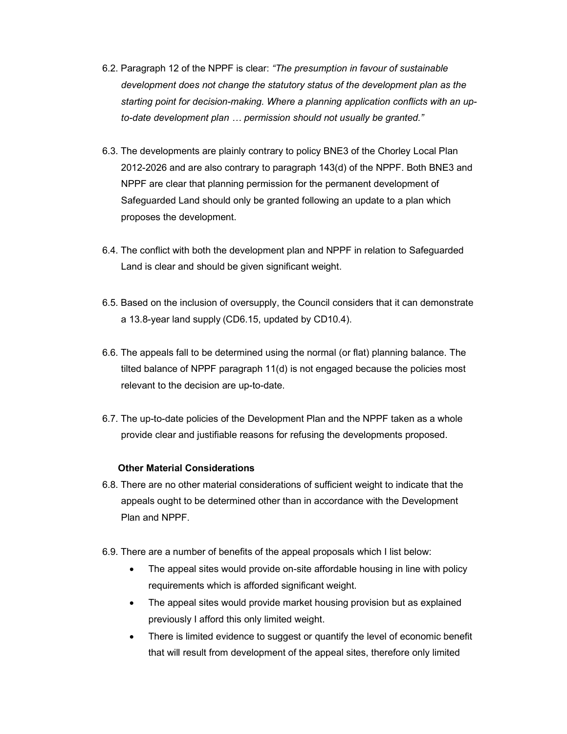- 6.2. Paragraph 12 of the NPPF is clear: "The presumption in favour of sustainable development does not change the statutory status of the development plan as the starting point for decision-making. Where a planning application conflicts with an upto-date development plan … permission should not usually be granted."
- 6.3. The developments are plainly contrary to policy BNE3 of the Chorley Local Plan 2012-2026 and are also contrary to paragraph 143(d) of the NPPF. Both BNE3 and NPPF are clear that planning permission for the permanent development of Safeguarded Land should only be granted following an update to a plan which proposes the development.
- 6.4. The conflict with both the development plan and NPPF in relation to Safeguarded Land is clear and should be given significant weight.
- 6.5. Based on the inclusion of oversupply, the Council considers that it can demonstrate a 13.8-year land supply (CD6.15, updated by CD10.4).
- 6.6. The appeals fall to be determined using the normal (or flat) planning balance. The tilted balance of NPPF paragraph 11(d) is not engaged because the policies most relevant to the decision are up-to-date.
- 6.7. The up-to-date policies of the Development Plan and the NPPF taken as a whole provide clear and justifiable reasons for refusing the developments proposed.

### Other Material Considerations

- 6.8. There are no other material considerations of sufficient weight to indicate that the appeals ought to be determined other than in accordance with the Development Plan and NPPF.
- 6.9. There are a number of benefits of the appeal proposals which I list below:
	- The appeal sites would provide on-site affordable housing in line with policy requirements which is afforded significant weight.
	- The appeal sites would provide market housing provision but as explained previously I afford this only limited weight.
	- There is limited evidence to suggest or quantify the level of economic benefit that will result from development of the appeal sites, therefore only limited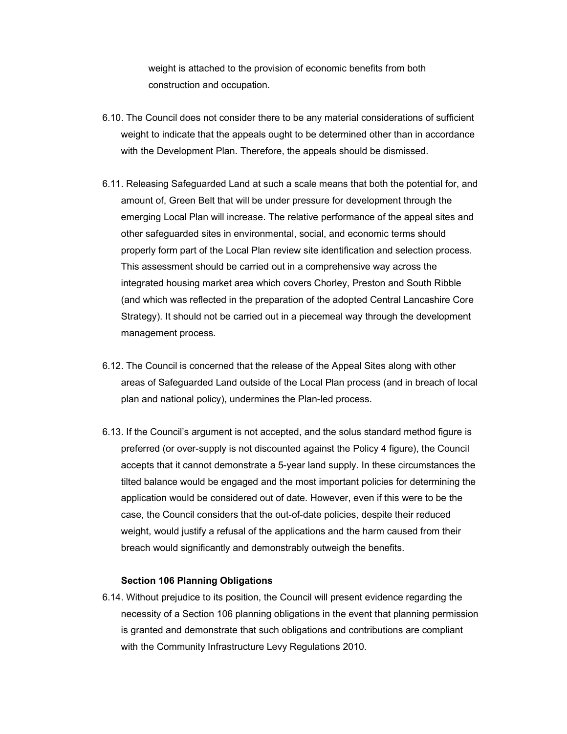weight is attached to the provision of economic benefits from both construction and occupation.

- 6.10. The Council does not consider there to be any material considerations of sufficient weight to indicate that the appeals ought to be determined other than in accordance with the Development Plan. Therefore, the appeals should be dismissed.
- 6.11. Releasing Safeguarded Land at such a scale means that both the potential for, and amount of, Green Belt that will be under pressure for development through the emerging Local Plan will increase. The relative performance of the appeal sites and other safeguarded sites in environmental, social, and economic terms should properly form part of the Local Plan review site identification and selection process. This assessment should be carried out in a comprehensive way across the integrated housing market area which covers Chorley, Preston and South Ribble (and which was reflected in the preparation of the adopted Central Lancashire Core Strategy). It should not be carried out in a piecemeal way through the development management process.
- 6.12. The Council is concerned that the release of the Appeal Sites along with other areas of Safeguarded Land outside of the Local Plan process (and in breach of local plan and national policy), undermines the Plan-led process.
- 6.13. If the Council's argument is not accepted, and the solus standard method figure is preferred (or over-supply is not discounted against the Policy 4 figure), the Council accepts that it cannot demonstrate a 5-year land supply. In these circumstances the tilted balance would be engaged and the most important policies for determining the application would be considered out of date. However, even if this were to be the case, the Council considers that the out-of-date policies, despite their reduced weight, would justify a refusal of the applications and the harm caused from their breach would significantly and demonstrably outweigh the benefits.

#### Section 106 Planning Obligations

6.14. Without prejudice to its position, the Council will present evidence regarding the necessity of a Section 106 planning obligations in the event that planning permission is granted and demonstrate that such obligations and contributions are compliant with the Community Infrastructure Levy Regulations 2010.